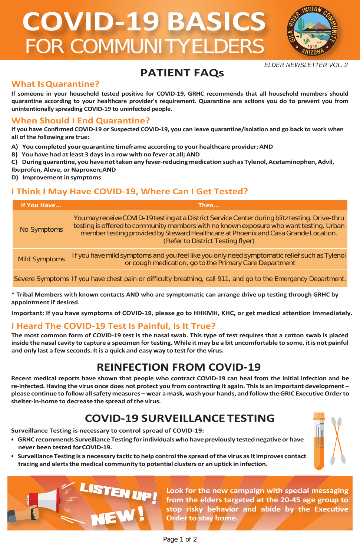# **COVID-19 BASICS** FOR COMMUNITYELDERS



*ELDER NEWSLETTER VOL. 2*

#### **What IsQuarantine?**

# **PATIENT FAQs**

**If someone in your household tested positive for COVID-19, GRHC recommends that all household members should quarantine according to your healthcare provider's requirement. Quarantine are actions you do to prevent you from unintentionally spreading COVID-19 to uninfected people.**

## **When Should I End Quarantine?**

**If you have Confirmed COVID-19 or Suspected COVID-19, you can leave quarantine/isolation and go back to work when all of the following are true:**

- **A) You completed your quarantine timeframe according to your healthcare provider;AND**
- **B) You have had atleast 3 daysin a row with no fever at all; AND**
- **C) Duringquarantine, youhavenottakenany fever-reducingmedicationsuchas Tylenol,Acetaminophen,Advil,**
- **Ibuprofen, Aleve, or Naproxen;AND**
- **D) Improvement in symptoms**

# **I Think I May Have COVID-19, Where Can I Get Tested?**

| If You Have          | Then                                                                                                                                                                                                                                                                                                                |
|----------------------|---------------------------------------------------------------------------------------------------------------------------------------------------------------------------------------------------------------------------------------------------------------------------------------------------------------------|
| No Symptoms          | You may receive COVID-19 testing at a District Service Center during blitz testing. Drive-thru<br>testing is offered to community members with no known exposure who want testing. Urban<br>member testing provided by Steward Healthcare at Phoenix and Casa Grande Location.<br>(Refer to District Testing flyer) |
| <b>Mild Symptoms</b> | If you have mild symptoms and you feel like you only need symptomatic relief such as Tylenol<br>or cough medication, go to the Primary Care Department                                                                                                                                                              |
|                      | Severe Symptoms If you have chest pain or difficulty breathing, call 911, and go to the Emergency Department.                                                                                                                                                                                                       |

**Look for the new campaign with special messaging from the elders targeted at the 20-45 age group to stop risky behavior and abide by the Executive Order to stay home.** 

**\* Tribal Members with known contacts AND who are symptomatic can arrange drive up testing through GRHC by appointment if desired.**

**Important: If you have symptoms of COVID-19, please go to HHKMH, KHC, or get medical attention immediately.**

## **I Heard The COVID-19 Test Is Painful, Is It True?**

**The most common form of COVID-19 test is the nasal swab. This type of test requires that a cotton swab is placed**  inside the nasal cavity to capture a specimen for testing. While it may be a bit uncomfortable to some, it is not painful **and only last a few seconds. Itis a quick and easy way to testforthe virus.**

# **REINFECTION FROM COVID-19**

**Recent medical reports have shown that people who contract COVID-19 can heal from the initial infection and be**  re-infected. Having the virus once does not protect you from contracting it again. This is an important development **please continue to followallsafety measures – wear a mask,wash your hands, and followtheGRIC ExecutiveOrderto shelter-in-home to decrease the spread ofthe virus.**

# **COVID-19 SURVEILLANCE TESTING**

**Surveillance Testing is necessary to control spread of COVID-19:**

- **• GRHC recommends Surveillance Testing forindividualswho have previously tested negative or have never been tested forCOVID-19.**
- **• Surveillance Testing is a necessary tactic to help controlthe spread ofthe virus asitimproves contact tracing and alertsthe medical community to potential clusters or an uptick in infection.**



Page 1 of 2